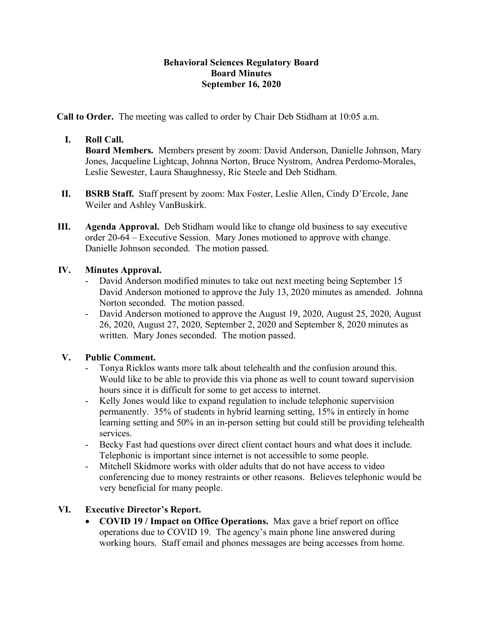### **Behavioral Sciences Regulatory Board Board Minutes September 16, 2020**

**Call to Order.** The meeting was called to order by Chair Deb Stidham at 10:05 a.m.

# **I. Roll Call.**

**Board Members.** Members present by zoom: David Anderson, Danielle Johnson, Mary Jones, Jacqueline Lightcap, Johnna Norton, Bruce Nystrom, Andrea Perdomo-Morales, Leslie Sewester, Laura Shaughnessy, Ric Steele and Deb Stidham.

- **II. BSRB Staff.** Staff present by zoom: Max Foster, Leslie Allen, Cindy D'Ercole, Jane Weiler and Ashley VanBuskirk.
- **III. Agenda Approval.** Deb Stidham would like to change old business to say executive order 20-64 – Executive Session. Mary Jones motioned to approve with change. Danielle Johnson seconded. The motion passed.

### **IV. Minutes Approval.**

- David Anderson modified minutes to take out next meeting being September 15 David Anderson motioned to approve the July 13, 2020 minutes as amended. Johnna Norton seconded. The motion passed.
- David Anderson motioned to approve the August 19, 2020, August 25, 2020, August 26, 2020, August 27, 2020, September 2, 2020 and September 8, 2020 minutes as written. Mary Jones seconded. The motion passed.

### **V. Public Comment.**

- Tonya Ricklos wants more talk about telehealth and the confusion around this. Would like to be able to provide this via phone as well to count toward supervision hours since it is difficult for some to get access to internet.
- Kelly Jones would like to expand regulation to include telephonic supervision permanently. 35% of students in hybrid learning setting, 15% in entirely in home learning setting and 50% in an in-person setting but could still be providing telehealth services.
- Becky Fast had questions over direct client contact hours and what does it include. Telephonic is important since internet is not accessible to some people.
- Mitchell Skidmore works with older adults that do not have access to video conferencing due to money restraints or other reasons. Believes telephonic would be very beneficial for many people.

# **VI. Executive Director's Report.**

• **COVID 19 / Impact on Office Operations.** Max gave a brief report on office operations due to COVID 19. The agency's main phone line answered during working hours. Staff email and phones messages are being accesses from home.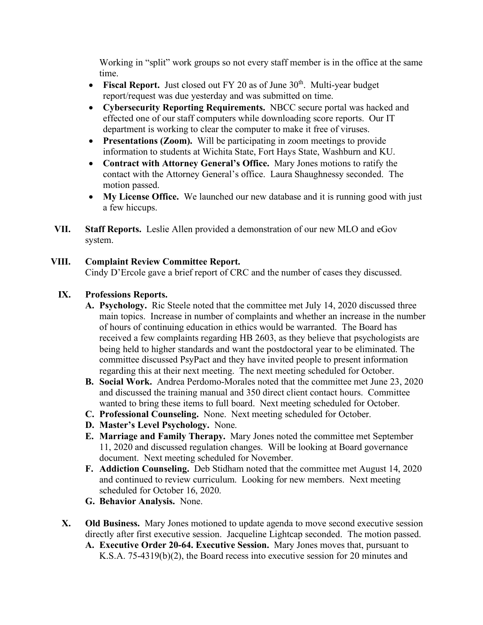Working in "split" work groups so not every staff member is in the office at the same time.

- **Fiscal Report.** Just closed out FY 20 as of June 30<sup>th</sup>. Multi-year budget report/request was due yesterday and was submitted on time.
- **Cybersecurity Reporting Requirements.** NBCC secure portal was hacked and effected one of our staff computers while downloading score reports. Our IT department is working to clear the computer to make it free of viruses.
- **Presentations (Zoom).** Will be participating in zoom meetings to provide information to students at Wichita State, Fort Hays State, Washburn and KU.
- **Contract with Attorney General's Office.** Mary Jones motions to ratify the contact with the Attorney General's office. Laura Shaughnessy seconded. The motion passed.
- **My License Office.** We launched our new database and it is running good with just a few hiccups.
- **VII. Staff Reports.** Leslie Allen provided a demonstration of our new MLO and eGov system.

```
VIII. Complaint Review Committee Report.
```
Cindy D'Ercole gave a brief report of CRC and the number of cases they discussed.

## **IX. Professions Reports.**

- **A. Psychology.** Ric Steele noted that the committee met July 14, 2020 discussed three main topics. Increase in number of complaints and whether an increase in the number of hours of continuing education in ethics would be warranted. The Board has received a few complaints regarding HB 2603, as they believe that psychologists are being held to higher standards and want the postdoctoral year to be eliminated. The committee discussed PsyPact and they have invited people to present information regarding this at their next meeting. The next meeting scheduled for October.
- **B. Social Work.** Andrea Perdomo-Morales noted that the committee met June 23, 2020 and discussed the training manual and 350 direct client contact hours. Committee wanted to bring these items to full board. Next meeting scheduled for October.
- **C. Professional Counseling.** None. Next meeting scheduled for October.
- **D. Master's Level Psychology.** None.
- **E. Marriage and Family Therapy.** Mary Jones noted the committee met September 11, 2020 and discussed regulation changes. Will be looking at Board governance document. Next meeting scheduled for November.
- **F. Addiction Counseling.** Deb Stidham noted that the committee met August 14, 2020 and continued to review curriculum. Looking for new members. Next meeting scheduled for October 16, 2020.
- **G. Behavior Analysis.** None.
- **X. Old Business.** Mary Jones motioned to update agenda to move second executive session directly after first executive session. Jacqueline Lightcap seconded. The motion passed.
	- **A. Executive Order 20-64. Executive Session.** Mary Jones moves that, pursuant to K.S.A. 75-4319(b)(2), the Board recess into executive session for 20 minutes and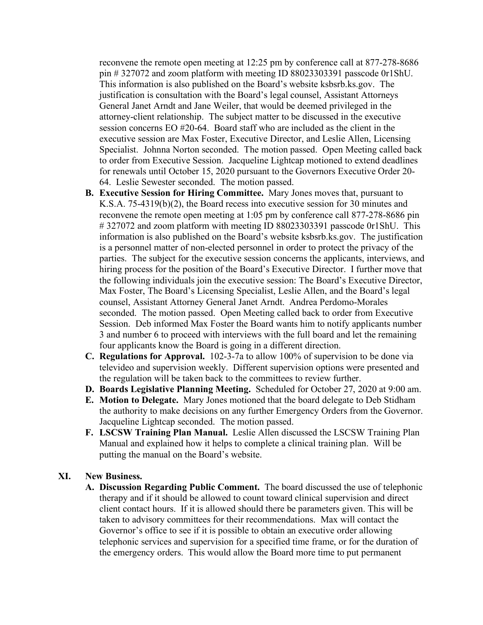reconvene the remote open meeting at 12:25 pm by conference call at 877-278-8686 pin # 327072 and zoom platform with meeting ID 88023303391 passcode 0r1ShU. This information is also published on the Board's website ksbsrb.ks.gov. The justification is consultation with the Board's legal counsel, Assistant Attorneys General Janet Arndt and Jane Weiler, that would be deemed privileged in the attorney-client relationship. The subject matter to be discussed in the executive session concerns EO #20-64. Board staff who are included as the client in the executive session are Max Foster, Executive Director, and Leslie Allen, Licensing Specialist. Johnna Norton seconded. The motion passed. Open Meeting called back to order from Executive Session. Jacqueline Lightcap motioned to extend deadlines for renewals until October 15, 2020 pursuant to the Governors Executive Order 20- 64. Leslie Sewester seconded. The motion passed.

- **B. Executive Session for Hiring Committee.** Mary Jones moves that, pursuant to K.S.A. 75-4319(b)(2), the Board recess into executive session for 30 minutes and reconvene the remote open meeting at 1:05 pm by conference call 877-278-8686 pin # 327072 and zoom platform with meeting ID 88023303391 passcode 0r1ShU. This information is also published on the Board's website ksbsrb.ks.gov. The justification is a personnel matter of non-elected personnel in order to protect the privacy of the parties. The subject for the executive session concerns the applicants, interviews, and hiring process for the position of the Board's Executive Director. I further move that the following individuals join the executive session: The Board's Executive Director, Max Foster, The Board's Licensing Specialist, Leslie Allen, and the Board's legal counsel, Assistant Attorney General Janet Arndt. Andrea Perdomo-Morales seconded. The motion passed. Open Meeting called back to order from Executive Session. Deb informed Max Foster the Board wants him to notify applicants number 3 and number 6 to proceed with interviews with the full board and let the remaining four applicants know the Board is going in a different direction.
- **C. Regulations for Approval.** 102-3-7a to allow 100% of supervision to be done via televideo and supervision weekly. Different supervision options were presented and the regulation will be taken back to the committees to review further.
- **D. Boards Legislative Planning Meeting.** Scheduled for October 27, 2020 at 9:00 am.
- **E. Motion to Delegate.** Mary Jones motioned that the board delegate to Deb Stidham the authority to make decisions on any further Emergency Orders from the Governor. Jacqueline Lightcap seconded. The motion passed.
- **F. LSCSW Training Plan Manual.** Leslie Allen discussed the LSCSW Training Plan Manual and explained how it helps to complete a clinical training plan. Will be putting the manual on the Board's website.

#### **XI. New Business.**

**A. Discussion Regarding Public Comment.** The board discussed the use of telephonic therapy and if it should be allowed to count toward clinical supervision and direct client contact hours. If it is allowed should there be parameters given. This will be taken to advisory committees for their recommendations. Max will contact the Governor's office to see if it is possible to obtain an executive order allowing telephonic services and supervision for a specified time frame, or for the duration of the emergency orders. This would allow the Board more time to put permanent